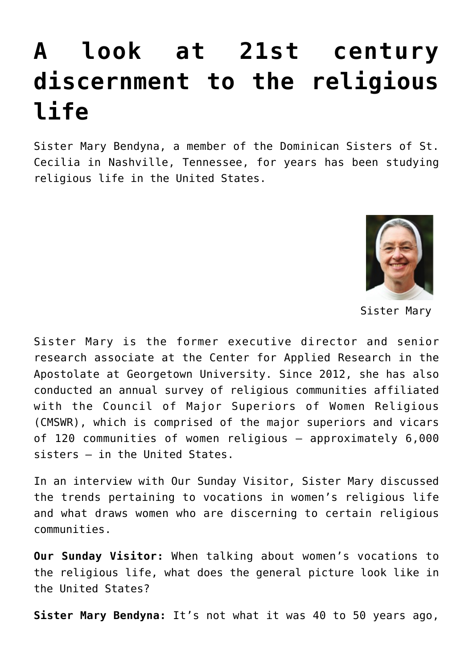## **[A look at 21st century](https://www.osvnews.com/amp/2019/10/11/a-look-at-21st-century-discernment-to-the-religious-life/) [discernment to the religious](https://www.osvnews.com/amp/2019/10/11/a-look-at-21st-century-discernment-to-the-religious-life/) [life](https://www.osvnews.com/amp/2019/10/11/a-look-at-21st-century-discernment-to-the-religious-life/)**

Sister Mary Bendyna, a member of the Dominican Sisters of St. Cecilia in Nashville, Tennessee, for years has been studying religious life in the United States.



Sister Mary

Sister Mary is the former executive director and senior research associate at the Center for Applied Research in the Apostolate at Georgetown University. Since 2012, she has also conducted an annual survey of religious communities affiliated with the Council of Major Superiors of Women Religious (CMSWR), which is comprised of the major superiors and vicars of 120 communities of women religious — approximately 6,000 sisters — in the United States.

In an interview with Our Sunday Visitor, Sister Mary discussed the trends pertaining to vocations in women's religious life and what draws women who are discerning to certain religious communities.

**Our Sunday Visitor:** When talking about women's vocations to the religious life, what does the general picture look like in the United States?

**Sister Mary Bendyna:** It's not what it was 40 to 50 years ago,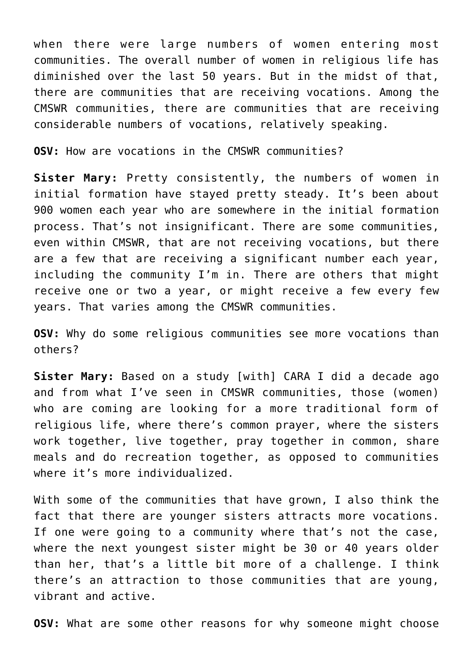when there were large numbers of women entering most communities. The overall number of women in religious life has diminished over the last 50 years. But in the midst of that, there are communities that are receiving vocations. Among the CMSWR communities, there are communities that are receiving considerable numbers of vocations, relatively speaking.

**OSV:** How are vocations in the CMSWR communities?

**Sister Mary:** Pretty consistently, the numbers of women in initial formation have stayed pretty steady. It's been about 900 women each year who are somewhere in the initial formation process. That's not insignificant. There are some communities, even within CMSWR, that are not receiving vocations, but there are a few that are receiving a significant number each year, including the community I'm in. There are others that might receive one or two a year, or might receive a few every few years. That varies among the CMSWR communities.

**OSV:** Why do some religious communities see more vocations than others?

**Sister Mary:** Based on a study [with] CARA I did a decade ago and from what I've seen in CMSWR communities, those (women) who are coming are looking for a more traditional form of religious life, where there's common prayer, where the sisters work together, live together, pray together in common, share meals and do recreation together, as opposed to communities where it's more individualized.

With some of the communities that have grown, I also think the fact that there are younger sisters attracts more vocations. If one were going to a community where that's not the case, where the next youngest sister might be 30 or 40 years older than her, that's a little bit more of a challenge. I think there's an attraction to those communities that are young, vibrant and active.

**OSV:** What are some other reasons for why someone might choose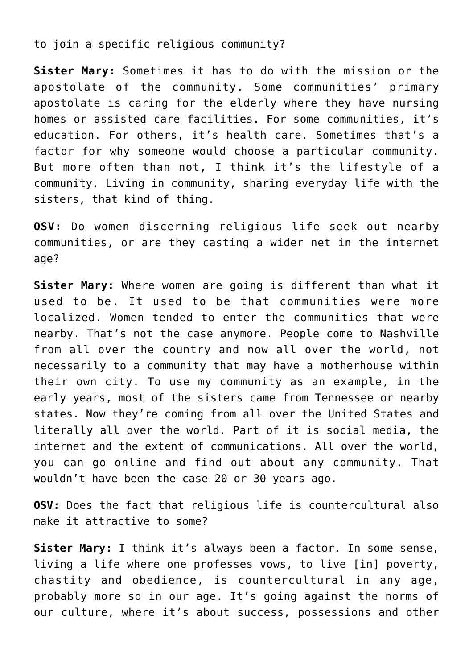to join a specific religious community?

**Sister Mary:** Sometimes it has to do with the mission or the apostolate of the community. Some communities' primary apostolate is caring for the elderly where they have nursing homes or assisted care facilities. For some communities, it's education. For others, it's health care. Sometimes that's a factor for why someone would choose a particular community. But more often than not, I think it's the lifestyle of a community. Living in community, sharing everyday life with the sisters, that kind of thing.

**OSV:** Do women discerning religious life seek out nearby communities, or are they casting a wider net in the internet age?

**Sister Mary:** Where women are going is different than what it used to be. It used to be that communities were more localized. Women tended to enter the communities that were nearby. That's not the case anymore. People come to Nashville from all over the country and now all over the world, not necessarily to a community that may have a motherhouse within their own city. To use my community as an example, in the early years, most of the sisters came from Tennessee or nearby states. Now they're coming from all over the United States and literally all over the world. Part of it is social media, the internet and the extent of communications. All over the world, you can go online and find out about any community. That wouldn't have been the case 20 or 30 years ago.

**OSV:** Does the fact that religious life is countercultural also make it attractive to some?

**Sister Mary:** I think it's always been a factor. In some sense, living a life where one professes vows, to live [in] poverty, chastity and obedience, is countercultural in any age, probably more so in our age. It's going against the norms of our culture, where it's about success, possessions and other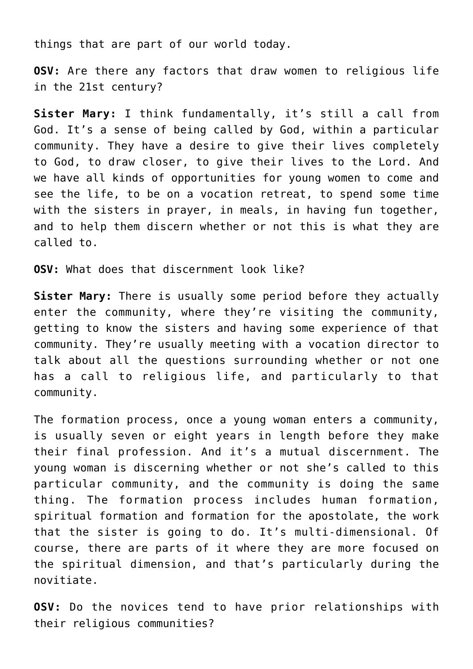things that are part of our world today.

**OSV:** Are there any factors that draw women to religious life in the 21st century?

**Sister Mary:** I think fundamentally, it's still a call from God. It's a sense of being called by God, within a particular community. They have a desire to give their lives completely to God, to draw closer, to give their lives to the Lord. And we have all kinds of opportunities for young women to come and see the life, to be on a vocation retreat, to spend some time with the sisters in prayer, in meals, in having fun together, and to help them discern whether or not this is what they are called to.

**OSV:** What does that discernment look like?

**Sister Mary:** There is usually some period before they actually enter the community, where they're visiting the community, getting to know the sisters and having some experience of that community. They're usually meeting with a vocation director to talk about all the questions surrounding whether or not one has a call to religious life, and particularly to that community.

The formation process, once a young woman enters a community, is usually seven or eight years in length before they make their final profession. And it's a mutual discernment. The young woman is discerning whether or not she's called to this particular community, and the community is doing the same thing. The formation process includes human formation, spiritual formation and formation for the apostolate, the work that the sister is going to do. It's multi-dimensional. Of course, there are parts of it where they are more focused on the spiritual dimension, and that's particularly during the novitiate.

**OSV:** Do the novices tend to have prior relationships with their religious communities?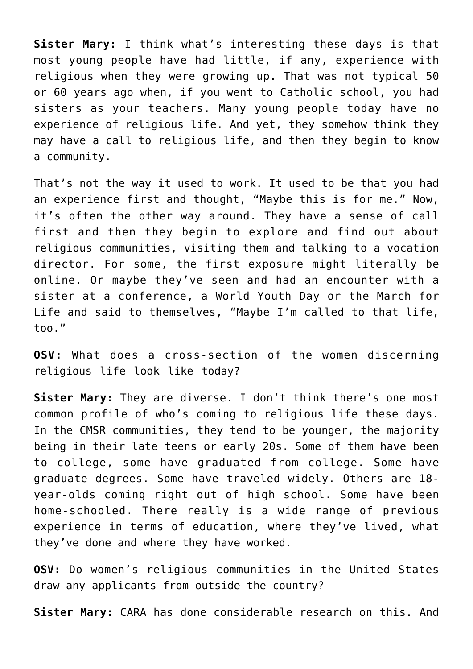**Sister Mary:** I think what's interesting these days is that most young people have had little, if any, experience with religious when they were growing up. That was not typical 50 or 60 years ago when, if you went to Catholic school, you had sisters as your teachers. Many young people today have no experience of religious life. And yet, they somehow think they may have a call to religious life, and then they begin to know a community.

That's not the way it used to work. It used to be that you had an experience first and thought, "Maybe this is for me." Now, it's often the other way around. They have a sense of call first and then they begin to explore and find out about religious communities, visiting them and talking to a vocation director. For some, the first exposure might literally be online. Or maybe they've seen and had an encounter with a sister at a conference, a World Youth Day or the March for Life and said to themselves, "Maybe I'm called to that life, too."

**OSV:** What does a cross-section of the women discerning religious life look like today?

**Sister Mary:** They are diverse. I don't think there's one most common profile of who's coming to religious life these days. In the CMSR communities, they tend to be younger, the majority being in their late teens or early 20s. Some of them have been to college, some have graduated from college. Some have graduate degrees. Some have traveled widely. Others are 18 year-olds coming right out of high school. Some have been home-schooled. There really is a wide range of previous experience in terms of education, where they've lived, what they've done and where they have worked.

**OSV:** Do women's religious communities in the United States draw any applicants from outside the country?

**Sister Mary:** CARA has done considerable research on this. And